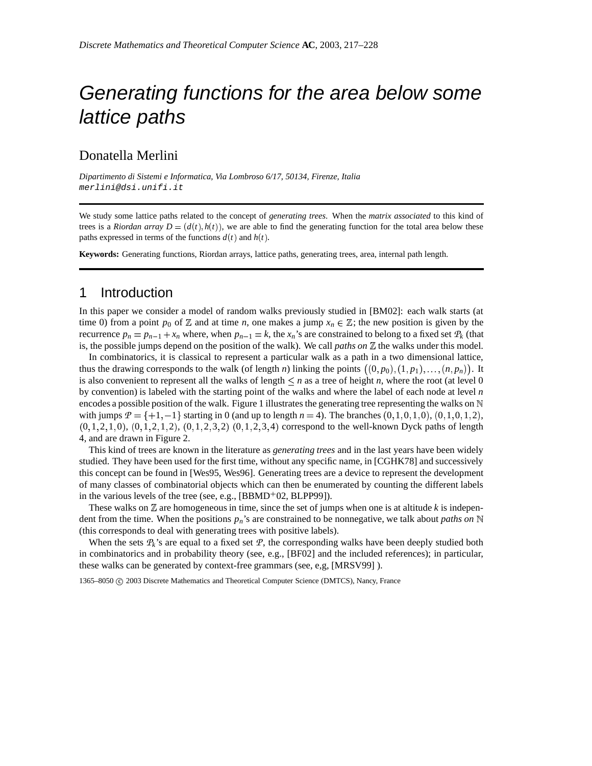# Generating functions for the area below some lattice paths

# Donatella Merlini

*Dipartimento di Sistemi e Informatica, Via Lombroso 6/17, 50134, Firenze, Italia* merlini@dsi.unifi.it

We study some lattice paths related to the concept of *generating trees*. When the *matrix associated* to this kind of trees is a *Riordan array*  $D = (d(t), h(t))$ , we are able to find the generating function for the total area below these paths expressed in terms of the functions  $d(t)$  and  $h(t)$ .

**Keywords:** Generating functions, Riordan arrays, lattice paths, generating trees, area, internal path length.

## 1 Introduction

In this paper we consider a model of random walks previously studied in [BM02]: each walk starts (at time 0) from a point  $p_0$  of  $\mathbb Z$  and at time *n*, one makes a jump  $x_n \in \mathbb Z$ ; the new position is given by the recurrence  $p_n = p_{n-1} + x_n$  where, when  $p_{n-1} = k$ , the  $x_n$ 's are constrained to belong to a fixed set  $P_k$  (that is, the possible jumps depend on the position of the walk). We call *paths on*  $\mathbb Z$  the walks under this model.

In combinatorics, it is classical to represent a particular walk as a path in a two dimensional lattice, thus the drawing corresponds to the walk (of length *n*) linking the points  $((0, p_0), (1, p_1), \ldots, (n, p_n))$ . It is also convenient to represent all the walks of length  $\leq n$  as a tree of height *n*, where the root (at level 0 by convention) is labeled with the starting point of the walks and where the label of each node at level *n* encodes a possible position of the walk. Figure 1 illustrates the generating tree representing the walks on  $\mathbb N$ with jumps  $P = \{+1, -1\}$  starting in 0 (and up to length  $n = 4$ ). The branches  $(0, 1, 0, 1, 0)$ ,  $(0, 1, 0, 1, 2)$ ,  $(0, 1, 2, 1, 0), (0, 1, 2, 1, 2), (0, 1, 2, 3, 2), (0, 1, 2, 3, 4)$  correspond to the well-known Dyck paths of length 4, and are drawn in Figure 2.

This kind of trees are known in the literature as *generating trees* and in the last years have been widely studied. They have been used for the first time, without any specific name, in [CGHK78] and successively this concept can be found in [Wes95, Wes96]. Generating trees are a device to represent the development of many classes of combinatorial objects which can then be enumerated by counting the different labels in the various levels of the tree (see, e.g.,  $[BBMD<sup>+</sup>02, BLPP99]$ ).

These walks on  $\mathbb Z$  are homogeneous in time, since the set of jumps when one is at altitude  $k$  is independent from the time. When the positions *pn*'s are constrained to be nonnegative, we talk about *paths on* (this corresponds to deal with generating trees with positive labels).

When the sets  $P_k$ 's are equal to a fixed set  $P$ , the corresponding walks have been deeply studied both in combinatorics and in probability theory (see, e.g., [BF02] and the included references); in particular, these walks can be generated by context-free grammars (see, e,g, [MRSV99] ).

1365–8050 C 2003 Discrete Mathematics and Theoretical Computer Science (DMTCS), Nancy, France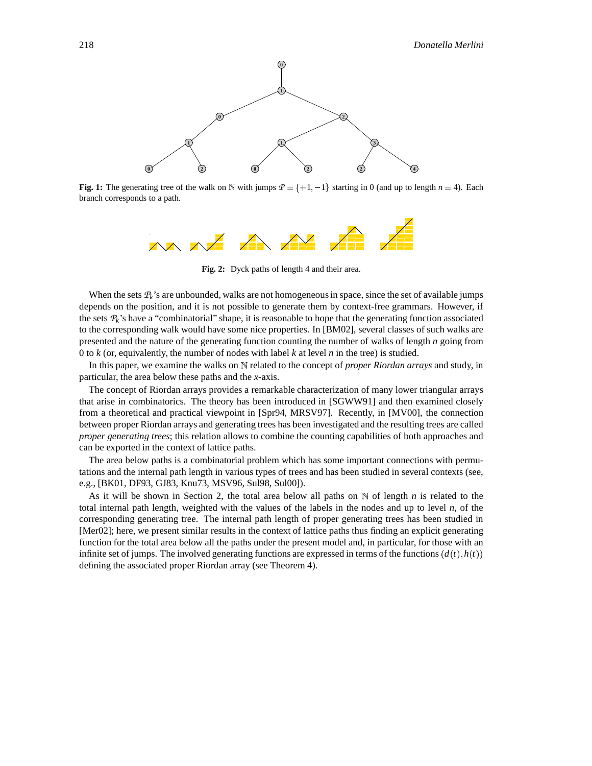

**Fig. 1:** The generating tree of the walk on  $\mathbb N$  with jumps  $\mathcal P = \{+1, -1\}$  starting in 0 (and up to length  $n = 4$ ). Each branch corresponds to a path.



**Fig. 2:** Dyck paths of length 4 and their area.

When the sets  $P_k$ 's are unbounded, walks are not homogeneous in space, since the set of available jumps depends on the position, and it is not possible to generate them by context-free grammars. However, if the sets  $P_k$ 's have a "combinatorial" shape, it is reasonable to hope that the generating function associated to the corresponding walk would have some nice properties. In [BM02], several classes of such walks are presented and the nature of the generating function counting the number of walks of length *n* going from 0 to *k* (or, equivalently, the number of nodes with label *k* at level *n* in the tree) is studied.

In this paper, we examine the walks on N related to the concept of *proper Riordan arrays* and study, in particular, the area below these paths and the *x*-axis.

The concept of Riordan arrays provides a remarkable characterization of many lower triangular arrays that arise in combinatorics. The theory has been introduced in [SGWW91] and then examined closely from a theoretical and practical viewpoint in [Spr94, MRSV97]. Recently, in [MV00], the connection between proper Riordan arrays and generating trees has been investigated and the resulting trees are called *proper generating trees*; this relation allows to combine the counting capabilities of both approaches and can be exported in the context of lattice paths.

The area below paths is a combinatorial problem which has some important connections with permutations and the internal path length in various types of trees and has been studied in several contexts (see, e.g., [BK01, DF93, GJ83, Knu73, MSV96, Sul98, Sul00]).

As it will be shown in Section 2, the total area below all paths on  $N$  of length  $n$  is related to the total internal path length, weighted with the values of the labels in the nodes and up to level *n*, of the corresponding generating tree. The internal path length of proper generating trees has been studied in [Mer02]; here, we present similar results in the context of lattice paths thus finding an explicit generating function for the total area below all the paths under the present model and, in particular, for those with an infinite set of jumps. The involved generating functions are expressed in terms of the functions  $(d(t), h(t))$ defining the associated proper Riordan array (see Theorem 4).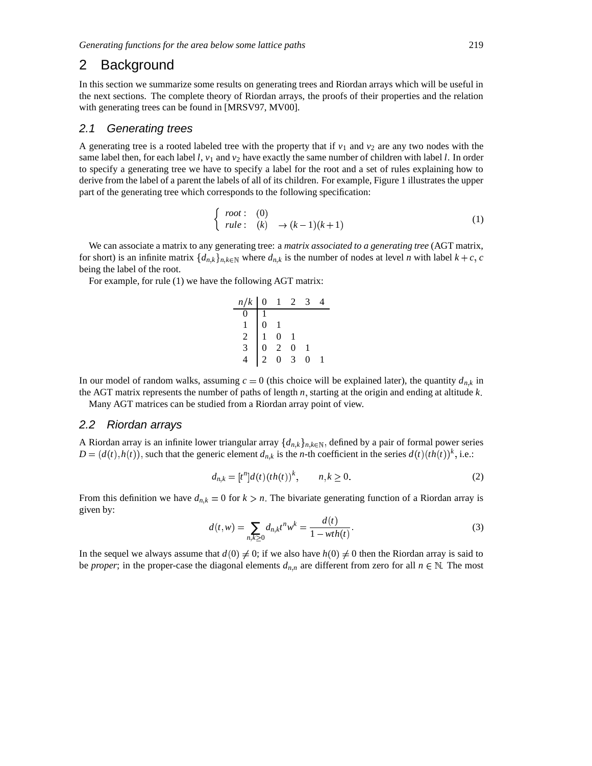## 2 Background

In this section we summarize some results on generating trees and Riordan arrays which will be useful in the next sections. The complete theory of Riordan arrays, the proofs of their properties and the relation with generating trees can be found in [MRSV97, MV00].

#### 2.1 Generating trees

A generating tree is a rooted labeled tree with the property that if  $v_1$  and  $v_2$  are any two nodes with the same label then, for each label  $l$ ,  $v_1$  and  $v_2$  have exactly the same number of children with label  $l$ . In order to specify a generating tree we have to specify a label for the root and a set of rules explaining how to derive from the label of a parent the labels of all of its children. For example, Figure 1 illustrates the upper part of the generating tree which corresponds to the following specification:

$$
\begin{cases}\n root: & (0) \\
 rule: & (k) \rightarrow (k-1)(k+1)\n\end{cases}
$$
\n(1)

We can associate a matrix to any generating tree: a *matrix associated to a generating tree* (AGT matrix, for short) is an infinite matrix  $\{d_{n,k}\}_{n,k\in\mathbb{N}}$  where  $d_{n,k}$  is the number of nodes at level *n* with label  $k+c$ , c being the label of the root.

For example, for rule (1) we have the following AGT matrix:

| $n/k$ | 0 | 1 | 2 | 3 | 4 |
|-------|---|---|---|---|---|
| 0     | 1 |   |   |   |   |
| 1     | 0 | 1 |   |   |   |
| 2     | 1 | 0 | 1 |   |   |
| 3     | 0 | 2 | 0 | 1 |   |
| 4     | 2 | 0 | 3 | 0 | 1 |

In our model of random walks, assuming  $c = 0$  (this choice will be explained later), the quantity  $d_{n,k}$  in the AGT matrix represents the number of paths of length  $n$ , starting at the origin and ending at altitude  $k$ .

Many AGT matrices can be studied from a Riordan array point of view.

#### 2.2 Riordan arrays

A Riordan array is an infinite lower triangular array  $\{d_{n,k}\}_{n,k\in\mathbb{N}}$ , defined by a pair of formal power series  $D = (d(t), h(t)),$  such that the generic element  $d_{n,k}$  is the *n*-th coefficient in the series  $d(t)(th(t))^k$ , i.e.:

$$
d_{n,k} = [t^n]d(t)(th(t))^{k}, \t n, k \ge 0.
$$
 (2)

From this definition we have  $d_{n,k} = 0$  for  $k > n$ . The bivariate generating function of a Riordan array is given by:

$$
d(t, w) = \sum_{n, k \ge 0} d_{n, k} t^n w^k = \frac{d(t)}{1 - wth(t)}.
$$
 (3)

In the sequel we always assume that  $d(0) \neq 0$ ; if we also have  $h(0) \neq 0$  then the Riordan array is said to be *proper*; in the proper-case the diagonal elements  $d_{n,n}$  are different from zero for all  $n \in \mathbb{N}$ . The most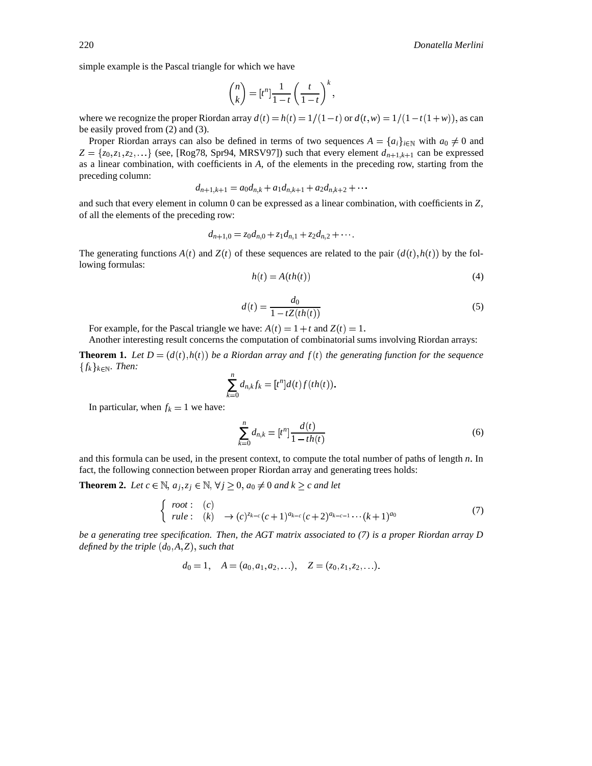simple example is the Pascal triangle for which we have

$$
\binom{n}{k} = [t^n] \frac{1}{1-t} \left(\frac{t}{1-t}\right)^k,
$$

where we recognize the proper Riordan array  $d(t) = h(t) = 1/(1-t)$  or  $d(t, w) = 1/(1-t(1+w))$ , as can be easily proved from (2) and (3).

Proper Riordan arrays can also be defined in terms of two sequences  $A = \{a_i\}_{i \in \mathbb{N}}$  with  $a_0 \neq 0$  and  $Z = \{z_0, z_1, z_2, \ldots\}$  (see, [Rog78, Spr94, MRSV97]) such that every element  $d_{n+1,k+1}$  can be expressed as a linear combination, with coefficients in *A*, of the elements in the preceding row, starting from the preceding column:

$$
d_{n+1,k+1} = a_0 d_{n,k} + a_1 d_{n,k+1} + a_2 d_{n,k+2} + \cdots
$$

and such that every element in column 0 can be expressed as a linear combination, with coefficients in *Z*, of all the elements of the preceding row:

$$
d_{n+1,0} = z_0 d_{n,0} + z_1 d_{n,1} + z_2 d_{n,2} + \cdots
$$

The generating functions  $A(t)$  and  $Z(t)$  of these sequences are related to the pair  $(d(t), h(t))$  by the following formulas:

$$
h(t) = A(th(t))
$$
\n<sup>(4)</sup>

$$
d(t) = \frac{d_0}{1 - tZ(th(t))}
$$
\n<sup>(5)</sup>

For example, for the Pascal triangle we have:  $A(t) = 1 + t$  and  $Z(t) = 1$ .

Another interesting result concerns the computation of combinatorial sums involving Riordan arrays:

**Theorem 1.** Let  $D = (d(t), h(t))$  be a Riordan array and  $f(t)$  the generating function for the sequence  ${f_k}_{k \in \mathbb{N}}$ *. Then:* 

$$
\sum_{k=0}^n d_{n,k} f_k = [t^n]d(t)f(th(t)).
$$

In particular, when  $f_k = 1$  we have:

$$
\sum_{k=0}^{n} d_{n,k} = [t^n] \frac{d(t)}{1 - th(t)}
$$
\n(6)

and this formula can be used, in the present context, to compute the total number of paths of length *n*. In fact, the following connection between proper Riordan array and generating trees holds:

**Theorem 2.** Let  $c \in \mathbb{N}$ ,  $a_j, z_j \in \mathbb{N}$ ,  $\forall j \geq 0$ ,  $a_0 \neq 0$  and  $k \geq c$  and let

{ root : (c)  
{ rule : (k) 
$$
\rightarrow
$$
 (c) <sup>$z_{k-c}$</sup> (c+1) <sup>$a_{k-c}$</sup> (c+2) <sup>$a_{k-c-1}$</sup> ...(*k*+1) <sup>$a_0$</sup>  (7)

be a generating tree specification. Then, the AGT matrix associated to  $(7)$  is a proper Riordan array D *defined by the triple*  $(d_0, A, Z)$ *, such that* 

$$
d_0 = 1
$$
,  $A = (a_0, a_1, a_2,...)$ ,  $Z = (z_0, z_1, z_2,...)$ .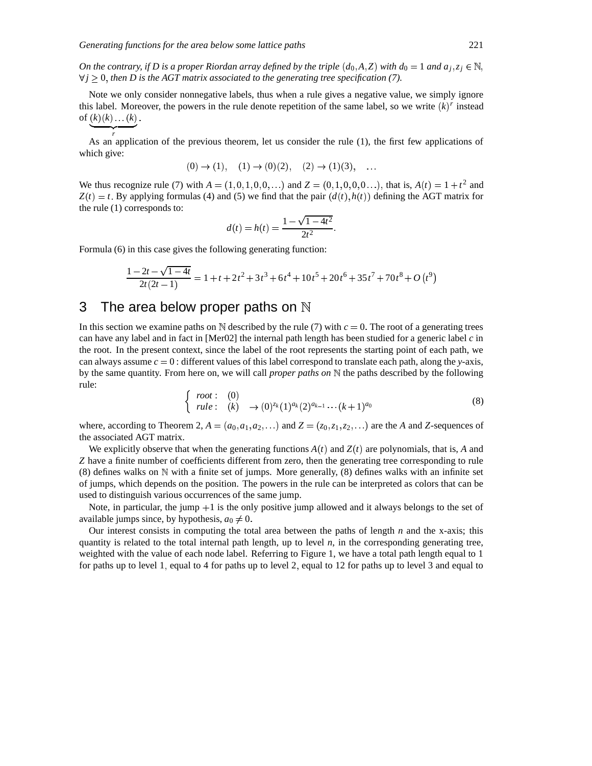On the contrary, if D is a proper Riordan array defined by the triple  $(d_0, A, Z)$  with  $d_0 = 1$  and  $a_i, z_i \in \mathbb{N}$ ,  $\forall j \geq 0$ , then D is the AGT matrix associated to the generating tree specification (7).

Note we only consider nonnegative labels, thus when a rule gives a negative value, we simply ignore this label. Moreover, the powers in the rule denote repetition of the same label, so we write  $(k)^r$  instead of  $(k)(k) \dots (k)$ . - $\mathcal{L}$  and  $\mathcal{L}$ 

*r* As an application of the previous theorem, let us consider the rule (1), the first few applications of which give:

$$
(0) \to (1), \quad (1) \to (0)(2), \quad (2) \to (1)(3), \quad \dots
$$

We thus recognize rule (7) with  $A = (1, 0, 1, 0, 0, ...)$  and  $Z = (0, 1, 0, 0, 0, ...)$ , that is,  $A(t) = 1 + t^2$  and  $Z(t) = t$ . By applying formulas (4) and (5) we find that the pair  $(d(t), h(t))$  defining the AGT matrix for the rule (1) corresponds to:

$$
d(t) = h(t) = \frac{1 - \sqrt{1 - 4t^2}}{2t^2}.
$$

Formula (6) in this case gives the following generating function:

$$
\frac{1-2t-\sqrt{1-4t}}{2t(2t-1)} = 1 + t + 2t^2 + 3t^3 + 6t^4 + 10t^5 + 20t^6 + 35t^7 + 70t^8 + O(t^9)
$$

# 3 The area below proper paths on  $\mathbb N$

In this section we examine paths on  $\mathbb N$  described by the rule (7) with  $c = 0$ . The root of a generating trees can have any label and in fact in [Mer02] the internal path length has been studied for a generic label *c* in the root. In the present context, since the label of the root represents the starting point of each path, we can always assume  $c = 0$ : different values of this label correspond to translate each path, along the *y*-axis, by the same quantity. From here on, we will call *proper paths on* the paths described by the following rule:

$$
\begin{cases}\n\text{root}: & (0) \\
\text{rule}: & (k) \rightarrow (0)^{z_k} (1)^{a_k} (2)^{a_{k-1}} \cdots (k+1)^{a_0}\n\end{cases}
$$
\n(8)

where, according to Theorem 2,  $A = (a_0, a_1, a_2, \ldots)$  and  $Z = (z_0, z_1, z_2, \ldots)$  are the *A* and *Z*-sequences of the associated AGT matrix.

We explicitly observe that when the generating functions  $A(t)$  and  $Z(t)$  are polynomials, that is, A and *Z* have a finite number of coefficients different from zero, then the generating tree corresponding to rule (8) defines walks on  $\mathbb N$  with a finite set of jumps. More generally, (8) defines walks with an infinite set of jumps, which depends on the position. The powers in the rule can be interpreted as colors that can be used to distinguish various occurrences of the same jump.

Note, in particular, the jump  $+1$  is the only positive jump allowed and it always belongs to the set of available jumps since, by hypothesis,  $a_0 \neq 0$ .

Our interest consists in computing the total area between the paths of length *n* and the x-axis; this quantity is related to the total internal path length, up to level *n*, in the corresponding generating tree, weighted with the value of each node label. Referring to Figure 1, we have a total path length equal to 1 for paths up to level 1, equal to 4 for paths up to level 2, equal to 12 for paths up to level 3 and equal to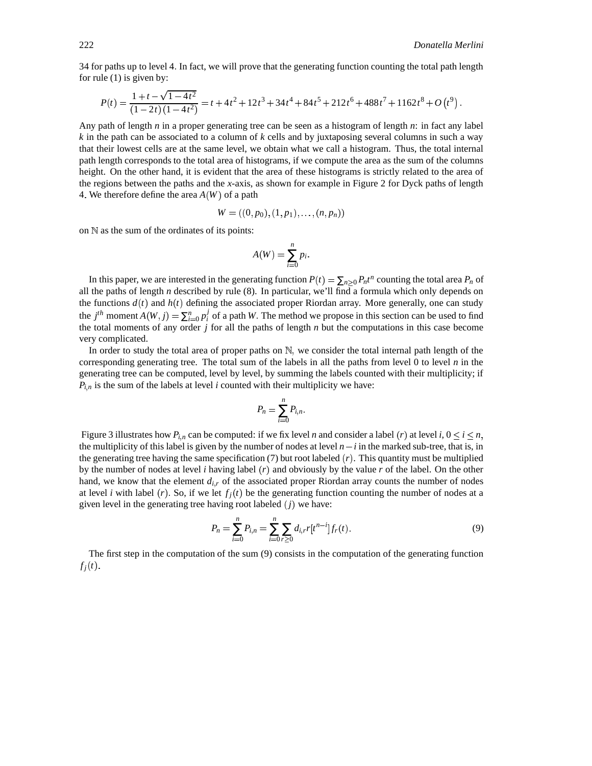34 for paths up to level 4 In fact, we will prove that the generating function counting the total path length for rule (1) is given by:

$$
P(t) = \frac{1+t-\sqrt{1-4t^2}}{(1-2t)(1-4t^2)} = t+4t^2+12t^3+34t^4+84t^5+212t^6+488t^7+1162t^8+O(t^9).
$$

Any path of length *n* in a proper generating tree can be seen as a histogram of length *n*: in fact any label *k* in the path can be associated to a column of *k* cells and by juxtaposing several columns in such a way that their lowest cells are at the same level, we obtain what we call a histogram. Thus, the total internal path length corresponds to the total area of histograms, if we compute the area as the sum of the columns height. On the other hand, it is evident that the area of these histograms is strictly related to the area of the regions between the paths and the *x*-axis, as shown for example in Figure 2 for Dyck paths of length 4. We therefore define the area  $A(W)$  of a path

$$
W = ((0, p_0), (1, p_1), \ldots, (n, p_n))
$$

on  $\mathbb N$  as the sum of the ordinates of its points:

$$
A(W) = \sum_{i=0}^{n} p_i.
$$

In this paper, we are interested in the generating function  $P(t) = \sum_{n\geq 0} P_n t^n$  counting the total area  $P_n$  of all the paths of length *n* described by rule (8). In particular, we'll find a formula which only depends on the functions  $d(t)$  and  $h(t)$  defining the associated proper Riordan array. More generally, one can study the *j*<sup>th</sup> moment  $A(W, j) = \sum_{i=0}^{n} p_i^j$  of a path *W*. The method we propose in this section can be used to find the total moments of any order *j* for all the paths of length *n* but the computations in this case become very complicated.

In order to study the total area of proper paths on  $\mathbb N$ , we consider the total internal path length of the corresponding generating tree. The total sum of the labels in all the paths from level  $\theta$  to level  $n$  in the generating tree can be computed, level by level, by summing the labels counted with their multiplicity; if  $P_{i,n}$  is the sum of the labels at level *i* counted with their multiplicity we have:

$$
P_n=\sum_{i=0}^n P_{i,n}.
$$

Figure 3 illustrates how  $P_{i,n}$  can be computed: if we fix level *n* and consider a label (*r*) at level *i*,  $0 \le i \le n$ , the multiplicity of this label is given by the number of nodes at level  $n - i$  in the marked sub-tree, that is, in the generating tree having the same specification  $(7)$  but root labeled  $(r)$ . This quantity must be multiplied by the number of nodes at level *i* having label  $(r)$  and obviously by the value  $r$  of the label. On the other hand, we know that the element  $d_{i,r}$  of the associated proper Riordan array counts the number of nodes at level *i* with label (*r*). So, if we let  $f_j(t)$  be the generating function counting the number of nodes at a given level in the generating tree having root labeled  $(j)$  we have:

$$
P_n = \sum_{i=0}^n P_{i,n} = \sum_{i=0}^n \sum_{r \ge 0} d_{i,r} r[t^{n-i}] f_r(t).
$$
\n(9)

The first step in the computation of the sum (9) consists in the computation of the generating function  $f_i(t)$ .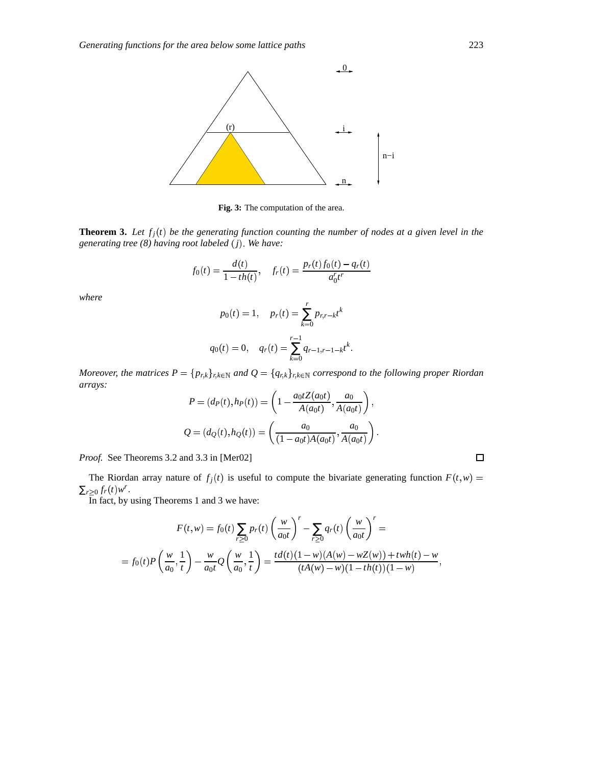

**Fig. 3:** The computation of the area.

**Theorem 3.** Let  $f_j(t)$  be the generating function counting the number of nodes at a given level in the *generating tree (8) having root labeled j We have:*

$$
f_0(t) = \frac{d(t)}{1 - th(t)}, \quad f_r(t) = \frac{p_r(t)f_0(t) - q_r(t)}{a_0^r t^r}
$$

*where*

$$
p_0(t) = 1, \quad p_r(t) = \sum_{k=0}^r p_{r,r-k} t^k
$$

$$
q_0(t) = 0, \quad q_r(t) = \sum_{k=0}^{r-1} q_{r-1,r-1-k} t^k.
$$

Moreover, the matrices  $P = \{p_{r,k}\}_{r,k \in \mathbb{N}}$  and  $Q = \{q_{r,k}\}_{r,k \in \mathbb{N}}$  correspond to the following proper Riordan *arrays:*

$$
P = (d_P(t), h_P(t)) = \left(1 - \frac{a_0 t Z(a_0 t)}{A(a_0 t)}, \frac{a_0}{A(a_0 t)}\right),
$$
  

$$
Q = (d_Q(t), h_Q(t)) = \left(\frac{a_0}{(1 - a_0 t) A(a_0 t)}, \frac{a_0}{A(a_0 t)}\right).
$$

*Proof.* See Theorems 3.2 and 3.3 in [Mer02]

The Riordan array nature of  $f_j(t)$  is useful to compute the bivariate generating function  $F(t, w) =$  $\sum_{r\geq 0} f_r(t) w^r$ .

In fact, by using Theorems 1 and 3 we have:

$$
F(t, w) = f_0(t) \sum_{r \ge 0} p_r(t) \left(\frac{w}{a_0 t}\right)^r - \sum_{r \ge 0} q_r(t) \left(\frac{w}{a_0 t}\right)^r =
$$
  
=  $f_0(t) P\left(\frac{w}{a_0}, \frac{1}{t}\right) - \frac{w}{a_0 t} Q\left(\frac{w}{a_0}, \frac{1}{t}\right) = \frac{td(t)(1 - w)(A(w) - wZ(w)) + twh(t) - w}{(tA(w) - w)(1 - th(t))(1 - w)},$ 

 $\Box$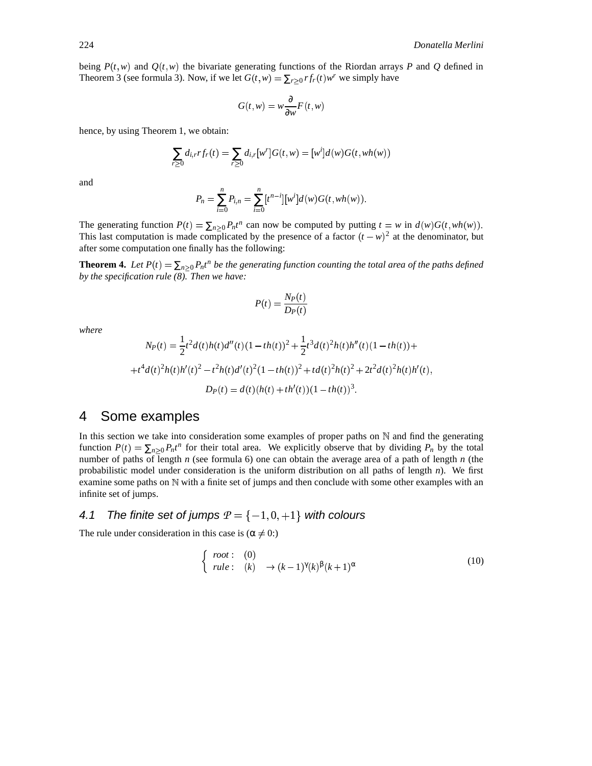being  $P(t, w)$  and  $Q(t, w)$  the bivariate generating functions of the Riordan arrays P and Q defined in Theorem 3 (see formula 3). Now, if we let  $G(t, w) = \sum_{r \geq 0} rf_r(t)w^r$  we simply have

$$
G(t, w) = w \frac{\partial}{\partial w} F(t, w)
$$

hence, by using Theorem 1, we obtain:

$$
\sum_{r\geq 0} d_{i,r} r f_r(t) = \sum_{r\geq 0} d_{i,r} [w^r] G(t, w) = [w^i] d(w) G(t, wh(w))
$$

and

$$
P_n = \sum_{i=0}^n P_{i,n} = \sum_{i=0}^n [t^{n-i}][w^i]d(w)G(t,wh(w)).
$$

The generating function  $P(t) = \sum_{n \geq 0} P_n t^n$  can now be computed by putting  $t = w$  in  $d(w)G(t, wh(w))$ . This last computation is made complicated by the presence of a factor  $(t - w)^2$  at the denominator, but after some computation one finally has the following:

**Theorem 4.** Let  $P(t) = \sum_{n\geq 0} P_n t^n$  be the generating function counting the total area of the paths defined *by the specification rule (8). Then we have:*

$$
P(t) = \frac{N_P(t)}{D_P(t)}
$$

*where*

$$
N_P(t) = \frac{1}{2}t^2d(t)h(t)d''(t)(1 - th(t))^2 + \frac{1}{2}t^3d(t)^2h(t)h''(t)(1 - th(t)) +
$$
  
+  $t^4d(t)^2h(t)h'(t)^2 - t^2h(t)d'(t)^2(1 - th(t))^2 + td(t)^2h(t)^2 + 2t^2d(t)^2h(t)h'(t),$   

$$
D_P(t) = d(t)(h(t) + th'(t))(1 - th(t))^3.
$$

# 4 Some examples

In this section we take into consideration some examples of proper paths on  $\mathbb N$  and find the generating function  $P(t) = \sum_{n\geq 0} P_n t^n$  for their total area. We explicitly observe that by dividing  $P_n$  by the total number of paths of length *n* (see formula 6) one can obtain the average area of a path of length *n* (the probabilistic model under consideration is the uniform distribution on all paths of length *n*). We first examine some paths on  $\mathbb N$  with a finite set of jumps and then conclude with some other examples with an infinite set of jumps.

## 4.1 The finite set of jumps  $P = \{-1,0,+1\}$  with colours

The rule under consideration in this case is  $(\alpha \neq 0)$ :

$$
\begin{cases}\n\text{root}: & (0) \\
\text{rule}: & (k) \rightarrow (k-1)^{\gamma}(k)^{\beta}(k+1)^{\alpha}\n\end{cases} (10)
$$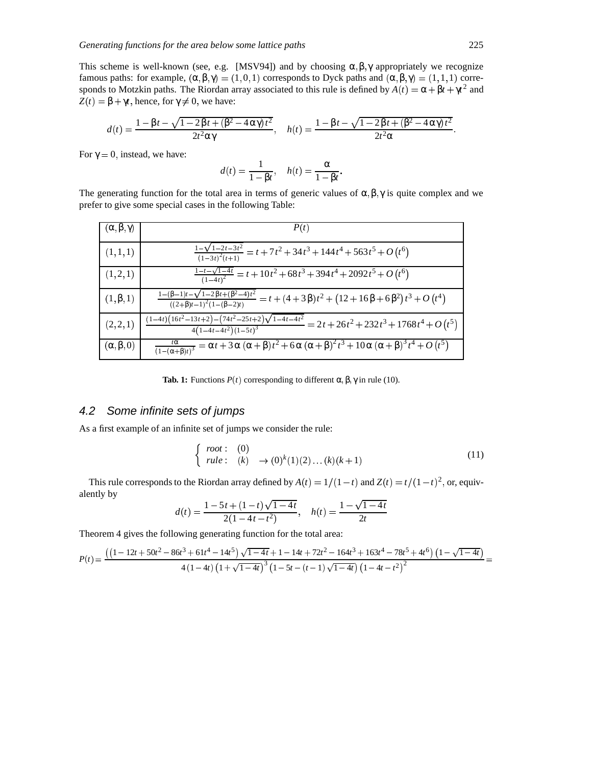This scheme is well-known (see, e.g. [MSV94]) and by choosing  $\alpha, \beta, \gamma$  appropriately we recognize famous paths: for example,  $(\alpha, \beta, \gamma) = (1, 0, 1)$  corresponds to Dyck paths and  $(\alpha, \beta, \gamma) = (1, 1, 1)$  corresponds to Motzkin paths. The Riordan array associated to this rule is defined by  $A(t) = \alpha + \beta t + \gamma t^2$  and  $Z(t) = \beta + \gamma t$ , hence, for  $\gamma \neq 0$ , we have:

$$
d(t) = \frac{1 - \beta t - \sqrt{1 - 2\beta t + (\beta^2 - 4\alpha \gamma)t^2}}{2t^2 \alpha \gamma}, \quad h(t) = \frac{1 - \beta t - \sqrt{1 - 2\beta t + (\beta^2 - 4\alpha \gamma)t^2}}{2t^2 \alpha}.
$$

For  $\gamma = 0$ , instead, we have:

$$
d(t) = \frac{1}{1 - \beta t}, \quad h(t) = \frac{\alpha}{1 - \beta t}.
$$

The generating function for the total area in terms of generic values of  $\alpha, \beta, \gamma$  is quite complex and we prefer to give some special cases in the following Table:

| $(\alpha, \beta, \gamma)$ | P(t)                                                                                                                                                                   |
|---------------------------|------------------------------------------------------------------------------------------------------------------------------------------------------------------------|
| (1,1,1)                   | $\frac{1-\sqrt{1-2t-3t^2}}{(1-3t)^2(t+1)}=t+7t^2+34t^3+144t^4+563t^5+O(t^6)$                                                                                           |
| (1,2,1)                   | $\frac{1-t-\sqrt{1-4t}}{(1-4t)^2} = t + 10t^2 + 68t^3 + 394t^4 + 2092t^5 + O(t^6)$                                                                                     |
| $(1, \beta, 1)$           | $\frac{1-(\beta-1)t-\sqrt{1-2\beta t+(\beta^2-4)t^2}}{((2+\beta)t-1)^2(1-(\beta-2)t)}=t+\frac{1}{(4+3\beta)t^2+\left(12+16\beta+6\beta^2\right)t^3+O\left(t^4\right)}$ |
| (2, 2, 1)                 | $\frac{(1-4t)\left(16t^2-13t+2\right)-\left(74t^2-25t+2\right)\sqrt{1-4t-4t^2}}{4\left(1-4t-4t^2\right)\left(1-5t\right)^3}=2t+26t^2+232t^3+1768t^4+O\left(t^5\right)$ |
| $(\alpha, \beta, 0)$      | $\frac{t\alpha}{(1-(\alpha+\beta)t)^3} = \alpha t + 3\alpha (\alpha+\beta)t^2 + 6\alpha (\alpha+\beta)^2 t^3 + 10\alpha (\alpha+\beta)^3 t^4 + O(t^5)$                 |

**Tab. 1:** Functions  $P(t)$  corresponding to different  $\alpha, \beta, \gamma$  in rule (10).

#### 4.2 Some infinite sets of jumps

As a first example of an infinite set of jumps we consider the rule:

$$
\begin{cases}\n\text{root}: & (0) \\
\text{rule}: & (k) \rightarrow (0)^k(1)(2)\dots(k)(k+1)\n\end{cases} \tag{11}
$$

This rule corresponds to the Riordan array defined by  $A(t) = 1/(1-t)$  and  $Z(t) = t/(1-t)^2$ , or, equivalently by

$$
d(t) = \frac{1 - 5t + (1 - t)\sqrt{1 - 4t}}{2(1 - 4t - t^2)}, \quad h(t) = \frac{1 - \sqrt{1 - 4t}}{2t}
$$

Theorem 4 gives the following generating function for the total area:

$$
P(t)=\frac{\left(\left(1-12t+50t^2-86t^3+61t^4-14t^5\right)\sqrt{1-4t}+1-14t+72t^2-164t^3+163t^4-78t^5+4t^6\right)\left(1-\sqrt{1-4t}\right)}{4\left(1-4t\right)\left(1+\sqrt{1-4t}\right)^3\left(1-5t-\left(t-1\right)\sqrt{1-4t}\right)\left(1-4t-t^2\right)^2}=
$$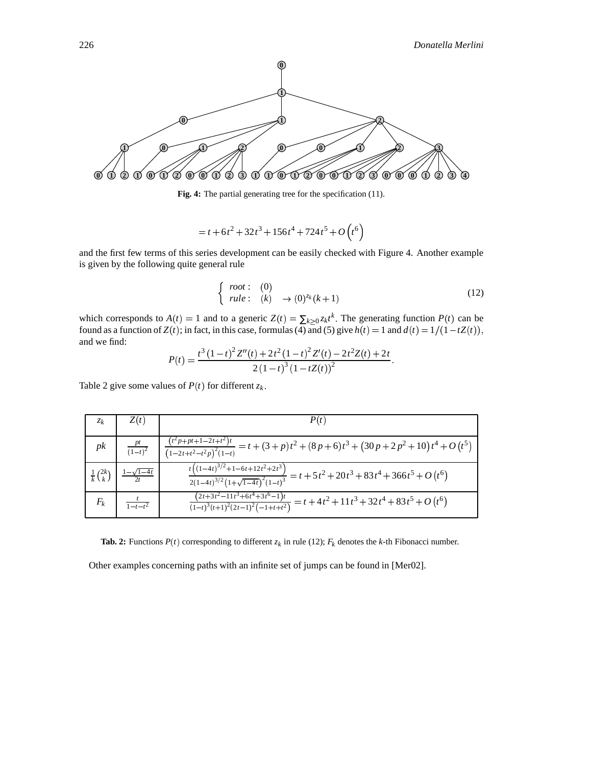

**Fig. 4:** The partial generating tree for the specification (11).

 $t = t + 6t^2 + 32t^3 + 156t^4 + 724t^5 + O(t^6)$ 

and the first few terms of this series development can be easily checked with Figure 4. Another example is given by the following quite general rule

$$
\begin{cases}\n\text{root}: & (0) \\
\text{rule}: & (k) \rightarrow (0)^{z_k}(k+1)\n\end{cases} (12)
$$

which corresponds to  $A(t) = 1$  and to a generic  $Z(t) = \sum_{k \geq 0} z_k t^k$ . The generating function  $P(t)$  can be found as a function of  $Z(t)$ ; in fact, in this case, formulas (4) and (5) give  $h(t) = 1$  and  $d(t) = 1/(1-tZ(t)),$ and we find:

$$
P(t) = \frac{t^3 (1-t)^2 Z''(t) + 2t^2 (1-t)^2 Z'(t) - 2t^2 Z(t) + 2t}{2 (1-t)^3 (1-tZ(t))^2}.
$$

Table 2 give some values of  $P(t)$  for different  $z_k$ .

| $z_k$                        | Z(t)                | P(t)                                                                                                                          |
|------------------------------|---------------------|-------------------------------------------------------------------------------------------------------------------------------|
| pk                           |                     | $\frac{pt}{(1-t)^2}$ $\frac{(t^2p+pt+1-2t+t^2)t}{(1-2t+t^2-t^2p)^2(1-t)}=t+(3+p)t^2+(8p+6)t^3+(30p+2p^2+10)t^4+O(t^5)$        |
| $\frac{1}{k} {2k \choose k}$ | $1 - \sqrt{1 - 4t}$ | $\frac{t\left((1-4t)^{3/2}+1-6t+12t^2+2t^3\right)}{2(1-4t)^{3/2}(1+\sqrt{1-4t})^2(1-t)^3} = t+5t^2+20t^3+83t^4+366t^5+O(t^6)$ |
| $F_k$                        | $1-t-t^2$           | $\frac{(2\overline{t+3t^2-11t^3+6t^4+3t^6-1})t}{(1-t)^3(t+1)^2(2t-1)^2(-1+t+t^2)}=t+4t^2+11t^3+32t^4+83t^5+O(t^6)$            |

**Tab.** 2: Functions  $P(t)$  corresponding to different  $z_k$  in rule (12);  $F_k$  denotes the *k*-th Fibonacci number.

Other examples concerning paths with an infinite set of jumps can be found in [Mer02].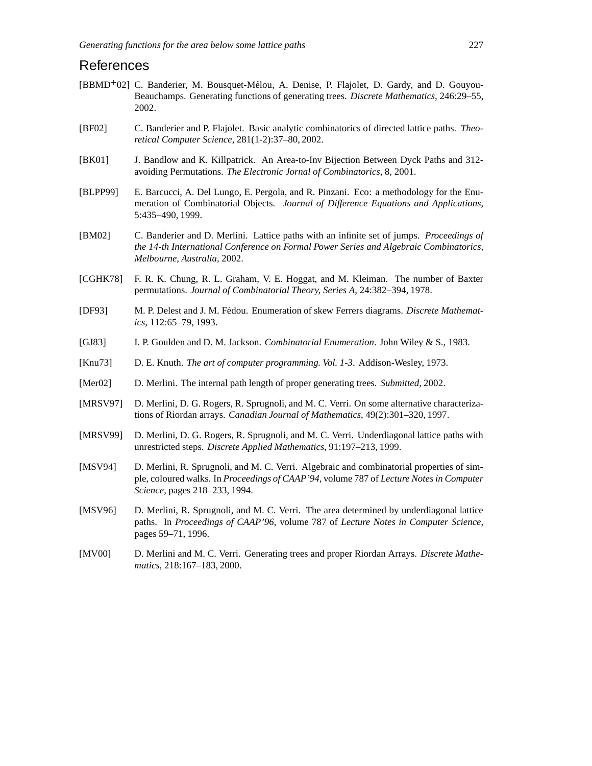## References

- [BBMD<sup>+</sup>02] C. Banderier, M. Bousquet-Mélou, A. Denise, P. Flajolet, D. Gardy, and D. Gouyou-Beauchamps. Generating functions of generating trees. *Discrete Mathematics*, 246:29–55, 2002.
- [BF02] C. Banderier and P. Flajolet. Basic analytic combinatorics of directed lattice paths. *Theoretical Computer Science*, 281(1-2):37–80, 2002.
- [BK01] J. Bandlow and K. Killpatrick. An Area-to-Inv Bijection Between Dyck Paths and 312 avoiding Permutations. *The Electronic Jornal of Combinatorics*, 8, 2001.
- [BLPP99] E. Barcucci, A. Del Lungo, E. Pergola, and R. Pinzani. Eco: a methodology for the Enumeration of Combinatorial Objects. *Journal of Difference Equations and Applications*, 5:435–490, 1999.
- [BM02] C. Banderier and D. Merlini. Lattice paths with an infinite set of jumps. *Proceedings of the 14-th International Conference on Formal Power Series and Algebraic Combinatorics, Melbourne, Australia*, 2002.
- [CGHK78] F. R. K. Chung, R. L. Graham, V. E. Hoggat, and M. Kleiman. The number of Baxter permutations. *Journal of Combinatorial Theory, Series A*, 24:382–394, 1978.
- [DF93] M. P. Delest and J. M. Fédou. Enumeration of skew Ferrers diagrams. *Discrete Mathematics*, 112:65–79, 1993.
- [GJ83] I. P. Goulden and D. M. Jackson. *Combinatorial Enumeration*. John Wiley & S., 1983.
- [Knu73] D. E. Knuth. *The art of computer programming. Vol. 1-3*. Addison-Wesley, 1973.
- [Mer02] D. Merlini. The internal path length of proper generating trees. *Submitted*, 2002.
- [MRSV97] D. Merlini, D. G. Rogers, R. Sprugnoli, and M. C. Verri. On some alternative characterizations of Riordan arrays. *Canadian Journal of Mathematics*, 49(2):301–320, 1997.
- [MRSV99] D. Merlini, D. G. Rogers, R. Sprugnoli, and M. C. Verri. Underdiagonal lattice paths with unrestricted steps. *Discrete Applied Mathematics*, 91:197–213, 1999.
- [MSV94] D. Merlini, R. Sprugnoli, and M. C. Verri. Algebraic and combinatorial properties of simple, coloured walks. In *Proceedings of CAAP'94*, volume 787 of *Lecture Notes in Computer Science*, pages 218–233, 1994.
- [MSV96] D. Merlini, R. Sprugnoli, and M. C. Verri. The area determined by underdiagonal lattice paths. In *Proceedings of CAAP'96*, volume 787 of *Lecture Notes in Computer Science*, pages 59–71, 1996.
- [MV00] D. Merlini and M. C. Verri. Generating trees and proper Riordan Arrays. *Discrete Mathematics*, 218:167–183, 2000.